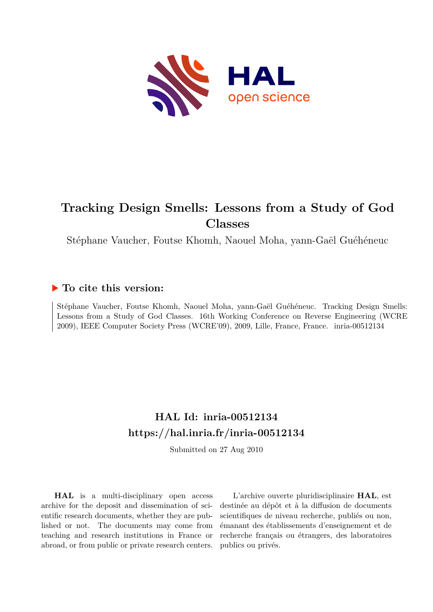

# **Tracking Design Smells: Lessons from a Study of God Classes**

Stéphane Vaucher, Foutse Khomh, Naouel Moha, yann-Gaël Guéhéneuc

## **To cite this version:**

Stéphane Vaucher, Foutse Khomh, Naouel Moha, yann-Gaël Guéhéneuc. Tracking Design Smells: Lessons from a Study of God Classes. 16th Working Conference on Reverse Engineering (WCRE 2009), IEEE Computer Society Press (WCRE'09), 2009, Lille, France, France. inria-00512134

## **HAL Id: inria-00512134 <https://hal.inria.fr/inria-00512134>**

Submitted on 27 Aug 2010

**HAL** is a multi-disciplinary open access archive for the deposit and dissemination of scientific research documents, whether they are published or not. The documents may come from teaching and research institutions in France or abroad, or from public or private research centers.

L'archive ouverte pluridisciplinaire **HAL**, est destinée au dépôt et à la diffusion de documents scientifiques de niveau recherche, publiés ou non, émanant des établissements d'enseignement et de recherche français ou étrangers, des laboratoires publics ou privés.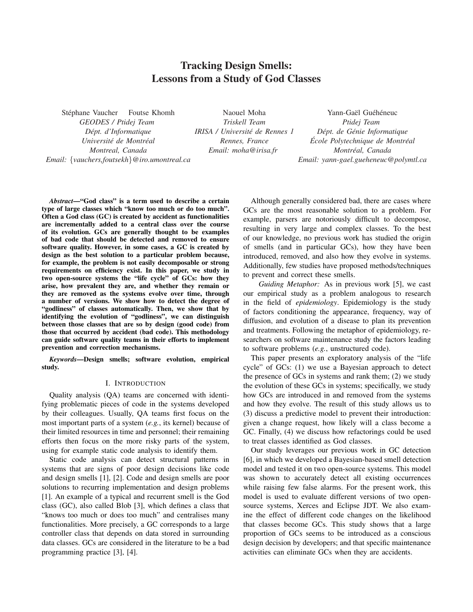### Tracking Design Smells: Lessons from a Study of God Classes

Stéphane Vaucher Foutse Khomh *GEODES / Ptidej Team Dept. d'Informatique ´*  $Université de Montréal$ *Montreal, Canada Email:* {*vauchers,foutsekh*}*@iro.umontreal.ca*

Naouel Moha *Triskell Team IRISA / Universite de Rennes 1 ´ Rennes, France Email: moha@irisa.fr*

Yann-Gaël Guéhéneuc *Ptidej Team Dept. de G ´ enie Informatique ´*  $\emph{École Polytechnique de Montréal}$ *Montreal, Canada ´ Email: yann-gael.gueheneuc@polymtl.ca*

*Abstract*—"God class" is a term used to describe a certain type of large classes which "know too much or do too much". Often a God class (GC) is created by accident as functionalities are incrementally added to a central class over the course of its evolution. GCs are generally thought to be examples of bad code that should be detected and removed to ensure software quality. However, in some cases, a GC is created by design as the best solution to a particular problem because, for example, the problem is not easily decomposable or strong requirements on efficiency exist. In this paper, we study in two open-source systems the "life cycle" of GCs: how they arise, how prevalent they are, and whether they remain or they are removed as the systems evolve over time, through a number of versions. We show how to detect the degree of "godliness" of classes automatically. Then, we show that by identifying the evolution of "godliness", we can distinguish between those classes that are so by design (good code) from those that occurred by accident (bad code). This methodology can guide software quality teams in their efforts to implement prevention and correction mechanisms.

*Keywords*—Design smells; software evolution, empirical study.

#### I. INTRODUCTION

Quality analysis (QA) teams are concerned with identifying problematic pieces of code in the systems developed by their colleagues. Usually, QA teams first focus on the most important parts of a system (*e.g.*, its kernel) because of their limited resources in time and personnel; their remaining efforts then focus on the more risky parts of the system, using for example static code analysis to identify them.

Static code analysis can detect structural patterns in systems that are signs of poor design decisions like code and design smells [1], [2]. Code and design smells are poor solutions to recurring implementation and design problems [1]. An example of a typical and recurrent smell is the God class (GC), also called Blob [3], which defines a class that "knows too much or does too much" and centralises many functionalities. More precisely, a GC corresponds to a large controller class that depends on data stored in surrounding data classes. GCs are considered in the literature to be a bad programming practice [3], [4].

Although generally considered bad, there are cases where GCs are the most reasonable solution to a problem. For example, parsers are notoriously difficult to decompose, resulting in very large and complex classes. To the best of our knowledge, no previous work has studied the origin of smells (and in particular GCs), how they have been introduced, removed, and also how they evolve in systems. Additionally, few studies have proposed methods/techniques to prevent and correct these smells.

*Guiding Metaphor:* As in previous work [5], we cast our empirical study as a problem analogous to research in the field of *epidemiology*. Epidemiology is the study of factors conditioning the appearance, frequency, way of diffusion, and evolution of a disease to plan its prevention and treatments. Following the metaphor of epidemiology, researchers on software maintenance study the factors leading to software problems (*e.g.*, unstructured code).

This paper presents an exploratory analysis of the "life cycle" of GCs: (1) we use a Bayesian approach to detect the presence of GCs in systems and rank them; (2) we study the evolution of these GCs in systems; specifically, we study how GCs are introduced in and removed from the systems and how they evolve. The result of this study allows us to (3) discuss a predictive model to prevent their introduction: given a change request, how likely will a class become a GC. Finally, (4) we discuss how refactorings could be used to treat classes identified as God classes.

Our study leverages our previous work in GC detection [6], in which we developed a Bayesian-based smell detection model and tested it on two open-source systems. This model was shown to accurately detect all existing occurrences while raising few false alarms. For the present work, this model is used to evaluate different versions of two opensource systems, Xerces and Eclipse JDT. We also examine the effect of different code changes on the likelihood that classes become GCs. This study shows that a large proportion of GCs seems to be introduced as a conscious design decision by developers; and that specific maintenance activities can eliminate GCs when they are accidents.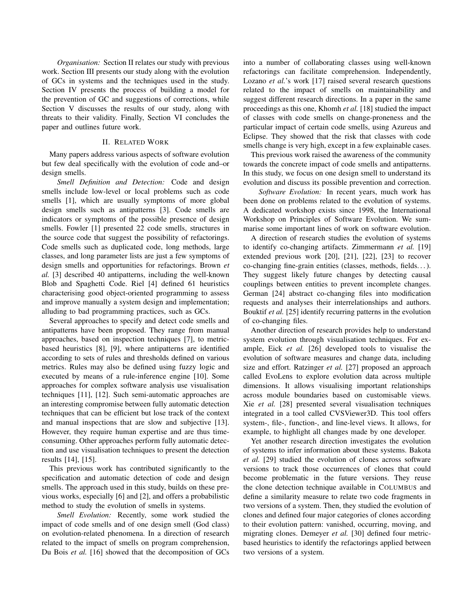*Organisation:* Section II relates our study with previous work. Section III presents our study along with the evolution of GCs in systems and the techniques used in the study. Section IV presents the process of building a model for the prevention of GC and suggestions of corrections, while Section V discusses the results of our study, along with threats to their validity. Finally, Section VI concludes the paper and outlines future work.

#### II. RELATED WORK

Many papers address various aspects of software evolution but few deal specifically with the evolution of code and–or design smells.

*Smell Definition and Detection:* Code and design smells include low-level or local problems such as code smells [1], which are usually symptoms of more global design smells such as antipatterns [3]. Code smells are indicators or symptoms of the possible presence of design smells. Fowler [1] presented 22 code smells, structures in the source code that suggest the possibility of refactorings. Code smells such as duplicated code, long methods, large classes, and long parameter lists are just a few symptoms of design smells and opportunities for refactorings. Brown *et al.* [3] described 40 antipatterns, including the well-known Blob and Spaghetti Code. Riel [4] defined 61 heuristics characterising good object-oriented programming to assess and improve manually a system design and implementation; alluding to bad programming practices, such as GCs.

Several approaches to specify and detect code smells and antipatterns have been proposed. They range from manual approaches, based on inspection techniques [7], to metricbased heuristics [8], [9], where antipatterns are identified according to sets of rules and thresholds defined on various metrics. Rules may also be defined using fuzzy logic and executed by means of a rule-inference engine [10]. Some approaches for complex software analysis use visualisation techniques [11], [12]. Such semi-automatic approaches are an interesting compromise between fully automatic detection techniques that can be efficient but lose track of the context and manual inspections that are slow and subjective [13]. However, they require human expertise and are thus timeconsuming. Other approaches perform fully automatic detection and use visualisation techniques to present the detection results [14], [15].

This previous work has contributed significantly to the specification and automatic detection of code and design smells. The approach used in this study, builds on these previous works, especially [6] and [2], and offers a probabilistic method to study the evolution of smells in systems.

*Smell Evolution:* Recently, some work studied the impact of code smells and of one design smell (God class) on evolution-related phenomena. In a direction of research related to the impact of smells on program comprehension, Du Bois *et al.* [16] showed that the decomposition of GCs into a number of collaborating classes using well-known refactorings can facilitate comprehension. Independently, Lozano *et al.*'s work [17] raised several research questions related to the impact of smells on maintainability and suggest different research directions. In a paper in the same proceedings as this one, Khomh *et al.* [18] studied the impact of classes with code smells on change-proneness and the particular impact of certain code smells, using Azureus and Eclipse. They showed that the risk that classes with code smells change is very high, except in a few explainable cases.

This previous work raised the awareness of the community towards the concrete impact of code smells and antipatterns. In this study, we focus on one design smell to understand its evolution and discuss its possible prevention and correction.

*Software Evolution:* In recent years, much work has been done on problems related to the evolution of systems. A dedicated workshop exists since 1998, the International Workshop on Principles of Software Evolution. We summarise some important lines of work on software evolution.

A direction of research studies the evolution of systems to identify co-changing artifacts. Zimmermann *et al.* [19] extended previous work [20], [21], [22], [23] to recover co-changing fine-grain entities (classes, methods, fields. . . ). They suggest likely future changes by detecting causal couplings between entities to prevent incomplete changes. German [24] abstract co-changing files into modification requests and analyses their interrelationships and authors. Bouktif *et al.* [25] identify recurring patterns in the evolution of co-changing files.

Another direction of research provides help to understand system evolution through visualisation techniques. For example, Eick *et al.* [26] developed tools to visualise the evolution of software measures and change data, including size and effort. Ratzinger *et al.* [27] proposed an approach called EvoLens to explore evolution data across multiple dimensions. It allows visualising important relationships across module boundaries based on customisable views. Xie *et al.* [28] presented several visualisation techniques integrated in a tool called CVSViewer3D. This tool offers system-, file-, function-, and line-level views. It allows, for example, to highlight all changes made by one developer.

Yet another research direction investigates the evolution of systems to infer information about these systems. Bakota *et al.* [29] studied the evolution of clones across software versions to track those occurrences of clones that could become problematic in the future versions. They reuse the clone detection technique available in COLUMBUS and define a similarity measure to relate two code fragments in two versions of a system. Then, they studied the evolution of clones and defined four major categories of clones according to their evolution pattern: vanished, occurring, moving, and migrating clones. Demeyer *et al.* [30] defined four metricbased heuristics to identify the refactorings applied between two versions of a system.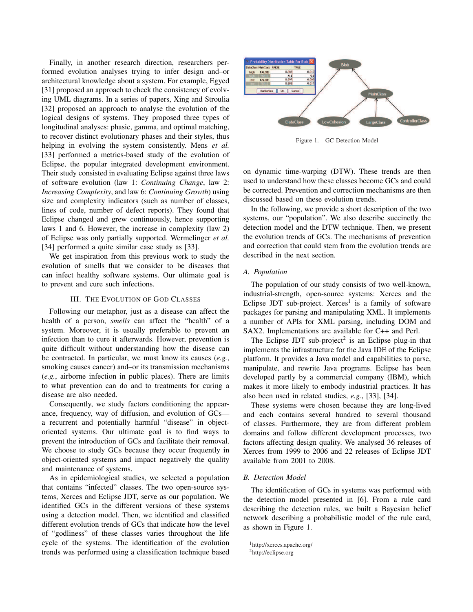Finally, in another research direction, researchers performed evolution analyses trying to infer design and–or architectural knowledge about a system. For example, Egyed [31] proposed an approach to check the consistency of evolving UML diagrams. In a series of papers, Xing and Stroulia [32] proposed an approach to analyse the evolution of the logical designs of systems. They proposed three types of longitudinal analyses: phasic, gamma, and optimal matching, to recover distinct evolutionary phases and their styles, thus helping in evolving the system consistently. Mens *et al.* [33] performed a metrics-based study of the evolution of Eclipse, the popular integrated development environment. Their study consisted in evaluating Eclipse against three laws of software evolution (law 1: *Continuing Change*, law 2: *Increasing Complexity*, and law 6: *Continuing Growth*) using size and complexity indicators (such as number of classes, lines of code, number of defect reports). They found that Eclipse changed and grew continuously, hence supporting laws 1 and 6. However, the increase in complexity (law 2) of Eclipse was only partially supported. Wermelinger *et al.* [34] performed a quite similar case study as [33].

We get inspiration from this previous work to study the evolution of smells that we consider to be diseases that can infect healthy software systems. Our ultimate goal is to prevent and cure such infections.

#### III. THE EVOLUTION OF GOD CLASSES

Following our metaphor, just as a disease can affect the health of a person, *smells* can affect the "health" of a system. Moreover, it is usually preferable to prevent an infection than to cure it afterwards. However, prevention is quite difficult without understanding how the disease can be contracted. In particular, we must know its causes (*e.g.*, smoking causes cancer) and–or its transmission mechanisms (*e.g.*, airborne infection in public places). There are limits to what prevention can do and to treatments for curing a disease are also needed.

Consequently, we study factors conditioning the appearance, frequency, way of diffusion, and evolution of GCs a recurrent and potentially harmful "disease" in objectoriented systems. Our ultimate goal is to find ways to prevent the introduction of GCs and facilitate their removal. We choose to study GCs because they occur frequently in object-oriented systems and impact negatively the quality and maintenance of systems.

As in epidemiological studies, we selected a population that contains "infected" classes. The two open-source systems, Xerces and Eclipse JDT, serve as our population. We identified GCs in the different versions of these systems using a detection model. Then, we identified and classified different evolution trends of GCs that indicate how the level of "godliness" of these classes varies throughout the life cycle of the systems. The identification of the evolution trends was performed using a classification technique based



Figure 1. GC Detection Model

on dynamic time-warping (DTW). These trends are then used to understand how these classes become GCs and could be corrected. Prevention and correction mechanisms are then discussed based on these evolution trends.

In the following, we provide a short description of the two systems, our "population". We also describe succinctly the detection model and the DTW technique. Then, we present the evolution trends of GCs. The mechanisms of prevention and correction that could stem from the evolution trends are described in the next section.

#### *A. Population*

The population of our study consists of two well-known, industrial-strength, open-source systems: Xerces and the Eclipse JDT sub-project. Xerces<sup>1</sup> is a family of software packages for parsing and manipulating XML. It implements a number of APIs for XML parsing, including DOM and SAX2. Implementations are available for C++ and Perl.

The Eclipse JDT sub-project<sup>2</sup> is an Eclipse plug-in that implements the infrastructure for the Java IDE of the Eclipse platform. It provides a Java model and capabilities to parse, manipulate, and rewrite Java programs. Eclipse has been developed partly by a commercial company (IBM), which makes it more likely to embody industrial practices. It has also been used in related studies, *e.g.*, [33], [34].

These systems were chosen because they are long-lived and each contains several hundred to several thousand of classes. Furthermore, they are from different problem domains and follow different development processes, two factors affecting design quality. We analysed 36 releases of Xerces from 1999 to 2006 and 22 releases of Eclipse JDT available from 2001 to 2008.

#### *B. Detection Model*

The identification of GCs in systems was performed with the detection model presented in [6]. From a rule card describing the detection rules, we built a Bayesian belief network describing a probabilistic model of the rule card, as shown in Figure 1.

```
1http://xerces.apache.org/
```
<sup>2</sup>http://eclipse.org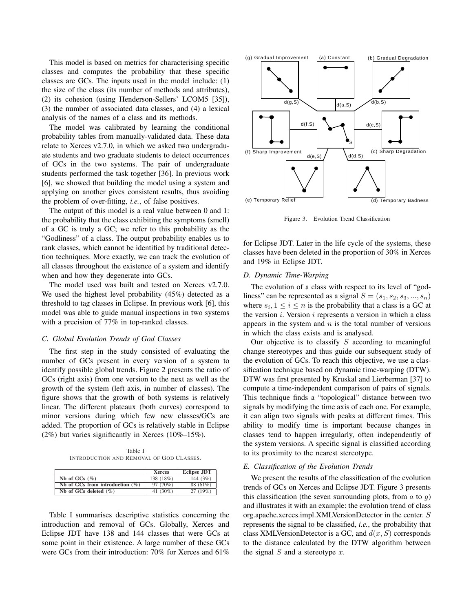This model is based on metrics for characterising specific classes and computes the probability that these specific classes are GCs. The inputs used in the model include: (1) the size of the class (its number of methods and attributes), (2) its cohesion (using Henderson-Sellers' LCOM5 [35]), (3) the number of associated data classes, and (4) a lexical analysis of the names of a class and its methods.

The model was calibrated by learning the conditional probability tables from manually-validated data. These data relate to Xerces v2.7.0, in which we asked two undergraduate students and two graduate students to detect occurrences of GCs in the two systems. The pair of undergraduate students performed the task together [36]. In previous work [6], we showed that building the model using a system and applying on another gives consistent results, thus avoiding the problem of over-fitting, *i.e.*, of false positives.

The output of this model is a real value between 0 and 1: the probability that the class exhibiting the symptoms (smell) of a GC is truly a GC; we refer to this probability as the "Godliness" of a class. The output probability enables us to rank classes, which cannot be identified by traditional detection techniques. More exactly, we can track the evolution of all classes throughout the existence of a system and identify when and how they degenerate into GCs.

The model used was built and tested on Xerces v2.7.0. We used the highest level probability (45%) detected as a threshold to tag classes in Eclipse. In previous work [6], this model was able to guide manual inspections in two systems with a precision of 77% in top-ranked classes.

#### *C. Global Evolution Trends of God Classes*

The first step in the study consisted of evaluating the number of GCs present in every version of a system to identify possible global trends. Figure 2 presents the ratio of GCs (right axis) from one version to the next as well as the growth of the system (left axis, in number of classes). The figure shows that the growth of both systems is relatively linear. The different plateaux (both curves) correspond to minor versions during which few new classes/GCs are added. The proportion of GCs is relatively stable in Eclipse (2%) but varies significantly in Xerces (10%–15%).

Table I INTRODUCTION AND REMOVAL OF GOD CLASSES.

|                                    | <b>Xerces</b> | Eclipse JDT |
|------------------------------------|---------------|-------------|
| Nb of GCs $(\%)$                   | 138 (18%)     | 144 $(3%)$  |
| Nb of GCs from introduction $(\%)$ | 97 (70%)      | 88 (61%)    |
| Nb of GCs deleted $(\% )$          | 41 $(30\%)$   | 27(19%)     |

Table I summarises descriptive statistics concerning the introduction and removal of GCs. Globally, Xerces and Eclipse JDT have 138 and 144 classes that were GCs at some point in their existence. A large number of these GCs were GCs from their introduction: 70% for Xerces and 61%



Figure 3. Evolution Trend Classification

for Eclipse JDT. Later in the life cycle of the systems, these classes have been deleted in the proportion of 30% in Xerces and 19% in Eclipse JDT.

#### *D. Dynamic Time-Warping*

The evolution of a class with respect to its level of "godliness" can be represented as a signal  $S = (s_1, s_2, s_3, ..., s_n)$ where  $s_i, 1 \leq i \leq n$  is the probability that a class is a GC at the version  $i$ . Version  $i$  represents a version in which a class appears in the system and  $n$  is the total number of versions in which the class exists and is analysed.

Our objective is to classify  $S$  according to meaningful change stereotypes and thus guide our subsequent study of the evolution of GCs. To reach this objective, we use a classification technique based on dynamic time-warping (DTW). DTW was first presented by Kruskal and Lierberman [37] to compute a time-independent comparison of pairs of signals. This technique finds a "topological" distance between two signals by modifying the time axis of each one. For example, it can align two signals with peaks at different times. This ability to modify time is important because changes in classes tend to happen irregularly, often independently of the system versions. A specific signal is classified according to its proximity to the nearest stereotype.

#### *E. Classification of the Evolution Trends*

We present the results of the classification of the evolution trends of GCs on Xerces and Eclipse JDT. Figure 3 presents this classification (the seven surrounding plots, from  $a$  to  $g$ ) and illustrates it with an example: the evolution trend of class org.apache.xerces.impl.XMLVersionDetector in the center. S represents the signal to be classified, *i.e.*, the probability that class XMLVersionDetector is a GC, and  $d(x, S)$  corresponds to the distance calculated by the DTW algorithm between the signal  $S$  and a stereotype  $x$ .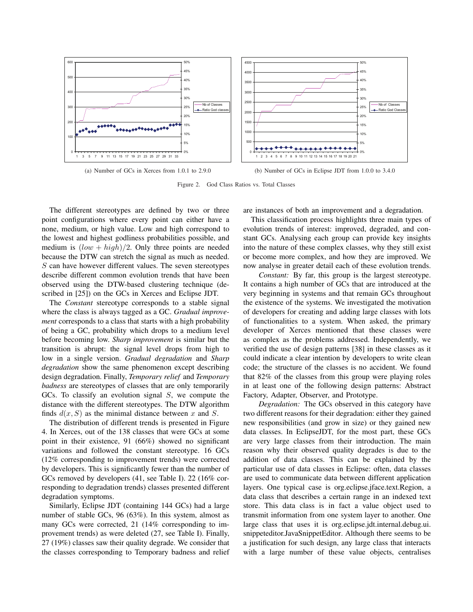

Figure 2. God Class Ratios vs. Total Classes

The different stereotypes are defined by two or three point configurations where every point can either have a none, medium, or high value. Low and high correspond to the lowest and highest godliness probabilities possible, and medium is  $(low + high)/2$ . Only three points are needed because the DTW can stretch the signal as much as needed. S can have however different values. The seven stereotypes describe different common evolution trends that have been observed using the DTW-based clustering technique (described in [25]) on the GCs in Xerces and Eclipse JDT.

The *Constant* stereotype corresponds to a stable signal where the class is always tagged as a GC. *Gradual improvement* corresponds to a class that starts with a high probability of being a GC, probability which drops to a medium level before becoming low. *Sharp improvement* is similar but the transition is abrupt: the signal level drops from high to low in a single version. *Gradual degradation* and *Sharp degradation* show the same phenomenon except describing design degradation. Finally, *Temporary relief* and *Temporary badness* are stereotypes of classes that are only temporarily GCs. To classify an evolution signal S, we compute the distance with the different stereotypes. The DTW algorithm finds  $d(x, S)$  as the minimal distance between x and S.

The distribution of different trends is presented in Figure 4. In Xerces, out of the 138 classes that were GCs at some point in their existence, 91 (66%) showed no significant variations and followed the constant stereotype. 16 GCs (12% corresponding to improvement trends) were corrected by developers. This is significantly fewer than the number of GCs removed by developers (41, see Table I). 22 (16% corresponding to degradation trends) classes presented different degradation symptoms.

Similarly, Eclipse JDT (containing 144 GCs) had a large number of stable GCs, 96 (63%). In this system, almost as many GCs were corrected, 21 (14% corresponding to improvement trends) as were deleted (27, see Table I). Finally, 27 (19%) classes saw their quality degrade. We consider that the classes corresponding to Temporary badness and relief are instances of both an improvement and a degradation.

This classification process highlights three main types of evolution trends of interest: improved, degraded, and constant GCs. Analysing each group can provide key insights into the nature of these complex classes, why they still exist or become more complex, and how they are improved. We now analyse in greater detail each of these evolution trends.

*Constant:* By far, this group is the largest stereotype. It contains a high number of GCs that are introduced at the very beginning in systems and that remain GCs throughout the existence of the systems. We investigated the motivation of developers for creating and adding large classes with lots of functionalities to a system. When asked, the primary developer of Xerces mentioned that these classes were as complex as the problems addressed. Independently, we verified the use of design patterns [38] in these classes as it could indicate a clear intention by developers to write clean code; the structure of the classes is no accident. We found that 82% of the classes from this group were playing roles in at least one of the following design patterns: Abstract Factory, Adapter, Observer, and Prototype.

*Degradation:* The GCs observed in this category have two different reasons for their degradation: either they gained new responsibilities (and grow in size) or they gained new data classes. In EclipseJDT, for the most part, these GCs are very large classes from their introduction. The main reason why their observed quality degrades is due to the addition of data classes. This can be explained by the particular use of data classes in Eclipse: often, data classes are used to communicate data between different application layers. One typical case is org.eclipse.jface.text.Region, a data class that describes a certain range in an indexed text store. This data class is in fact a value object used to transmit information from one system layer to another. One large class that uses it is org.eclipse.jdt.internal.debug.ui. snippeteditor.JavaSnippetEditor. Although there seems to be a justification for such design, any large class that interacts with a large number of these value objects, centralises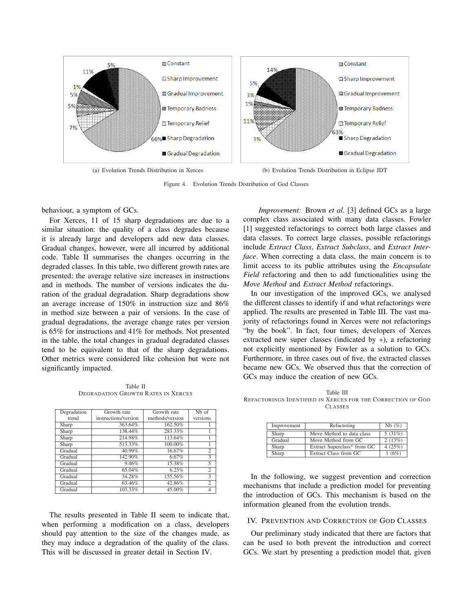

Figure 4. Evolution Trends Distribution of God Classes

behaviour, a symptom of GCs.

For Xerces, 11 of 15 sharp degradations are due to a similar situation: the quality of a class degrades because it is already large and developers add new data classes. Gradual changes, however, were all incurred by additional code. Table II summarises the changes occurring in the degraded classes. In this table, two different growth rates are presented: the average relative size increases in instructions and in methods. The number of versions indicates the duration of the gradual degradation. Sharp degradations show an average increase of 150% in instruction size and 86% in method size between a pair of versions. In the case of gradual degradations, the average change rates per version is 65% for instructions and 41% for methods. Not presented in the table, the total changes in gradual degradated classes tend to be equivalent to that of the sharp degradations. Other metrics were considered like cohesion but were not significantly impacted.

Table II DEGRADATION GROWTH RATES IN XERCES

| Degradation | Growth rate          | Growth rate     | Nb of          |
|-------------|----------------------|-----------------|----------------|
| trend       | instructions/version | methods/version | versions       |
| Sharp       | 363.64%              | 162.50%         |                |
| Sharp       | 138.44%              | 283.33%         |                |
| Sharp       | 214.98%              | 113.64%         |                |
| Sharp       | 513.33%              | 100.00%         |                |
| Gradual     | $40.99\%$            | 16.67%          | $\overline{c}$ |
| Gradual     | 142.90%              | 6.67%           | 3              |
| Gradual     | 9.46%                | 15.38%          | 5              |
| Gradual     | 65.04%               | 6.25%           | $\overline{c}$ |
| Gradual     | 34.28%               | 155.56%         | 3              |
| Gradual     | 63.46%               | 42.86%          | $\overline{2}$ |
| Gradual     | 103.33%              | 45.00%          | 4              |

The results presented in Table II seem to indicate that, when performing a modification on a class, developers should pay attention to the size of the changes made, as they may induce a degradation of the quality of the class. This will be discussed in greater detail in Section IV.

*Improvement:* Brown *et al.* [3] defined GCs as a large complex class associated with many data classes. Fowler [1] suggested refactorings to correct both large classes and data classes. To correct large classes, possible refactorings include *Extract Class*, *Extract Subclass*, and *Extract Interface*. When correcting a data class, the main concern is to limit access to its public attributes using the *Encapsulate Field* refactoring and then to add functionalities using the *Move Method* and *Extract Method* refactorings.

In our investigation of the improved GCs, we analysed the different classes to identify if and what refactorings were applied. The results are presented in Table III. The vast majority of refactorings found in Xerces were not refactorings "by the book". In fact, four times, developers of Xerces extracted new super classes (indicated by ∗), a refactoring not explicitly mentioned by Fowler as a solution to GCs. Furthermore, in three cases out of five, the extracted classes became new GCs. We observed thus that the correction of GCs may induce the creation of new GCs.

Table III REFACTORINGS IDENTIFIED IN XERCES FOR THE CORRECTION OF GOD CLASSES

| Improvement | Refactoring                 | Nb(%)     |
|-------------|-----------------------------|-----------|
|             |                             |           |
| Sharp       | Move Method to data class   | 5(31%)    |
| Gradual     | Move Method from GC         | 2(13%)    |
| Sharp       | Extract Superclass* from GC | 4 $(25%)$ |
| Sharp       | Extract Class from GC       | 1(6%)     |

In the following, we suggest prevention and correction mechanisms that include a prediction model for preventing the introduction of GCs. This mechanism is based on the information gleaned from the evolution trends.

#### IV. PREVENTION AND CORRECTION OF GOD CLASSES

Our preliminary study indicated that there are factors that can be used to both prevent the introduction and correct GCs. We start by presenting a prediction model that, given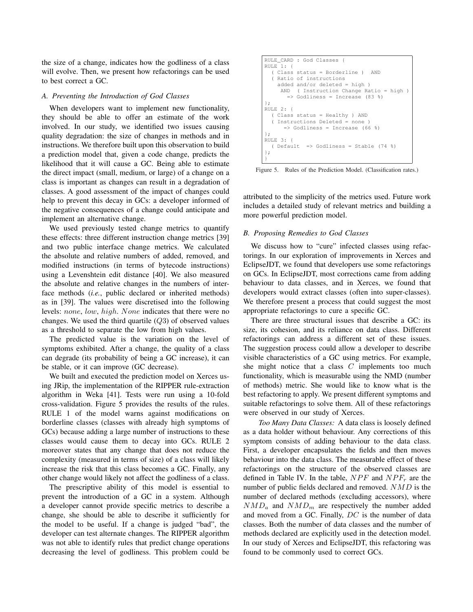the size of a change, indicates how the godliness of a class will evolve. Then, we present how refactorings can be used to best correct a GC.

#### *A. Preventing the Introduction of God Classes*

When developers want to implement new functionality, they should be able to offer an estimate of the work involved. In our study, we identified two issues causing quality degradation: the size of changes in methods and in instructions. We therefore built upon this observation to build a prediction model that, given a code change, predicts the likelihood that it will cause a GC. Being able to estimate the direct impact (small, medium, or large) of a change on a class is important as changes can result in a degradation of classes. A good assessment of the impact of changes could help to prevent this decay in GCs: a developer informed of the negative consequences of a change could anticipate and implement an alternative change.

We used previously tested change metrics to quantify these effects: three different instruction change metrics [39] and two public interface change metrics. We calculated the absolute and relative numbers of added, removed, and modified instructions (in terms of bytecode instructions) using a Levenshtein edit distance [40]. We also measured the absolute and relative changes in the numbers of interface methods (*i.e.*, public declared or inherited methods) as in [39]. The values were discretised into the following levels: none, low, high. None indicates that there were no changes. We used the third quartile  $(Q3)$  of observed values as a threshold to separate the low from high values.

The predicted value is the variation on the level of symptoms exhibited. After a change, the quality of a class can degrade (its probability of being a GC increase), it can be stable, or it can improve (GC decrease).

We built and executed the prediction model on Xerces using JRip, the implementation of the RIPPER rule-extraction algorithm in Weka [41]. Tests were run using a 10-fold cross-validation. Figure 5 provides the results of the rules. RULE 1 of the model warns against modifications on borderline classes (classes with already high symptoms of GCs) because adding a large number of instructions to these classes would cause them to decay into GCs. RULE 2 moreover states that any change that does not reduce the complexity (measured in terms of size) of a class will likely increase the risk that this class becomes a GC. Finally, any other change would likely not affect the godliness of a class.

The prescriptive ability of this model is essential to prevent the introduction of a GC in a system. Although a developer cannot provide specific metrics to describe a change, she should be able to describe it sufficiently for the model to be useful. If a change is judged "bad", the developer can test alternate changes. The RIPPER algorithm was not able to identify rules that predict change operations decreasing the level of godliness. This problem could be

```
RULE CARD : God Classes {
RULE 1: {
  ( Class status = Borderline ) AND
   Ratio of instructions
    added and/or deleted = high )
     AND ( Instruction Change Ratio = high )
       => Godliness = Increase (83 %)
};
RIILE 2 \cdot 1( Class status = Healthy ) AND
  ( Instructions Deleted = none )
      \Rightarrow Godliness = Increase (66 %)
};
RULE 3: {
  ( Default => Godliness = Stable (74 %)
};
}
```
Figure 5. Rules of the Prediction Model. (Classification rates.)

attributed to the simplicity of the metrics used. Future work includes a detailed study of relevant metrics and building a more powerful prediction model.

#### *B. Proposing Remedies to God Classes*

We discuss how to "cure" infected classes using refactorings. In our exploration of improvements in Xerces and EclipseJDT, we found that developers use some refactorings on GCs. In EclipseJDT, most corrections came from adding behaviour to data classes, and in Xerces, we found that developers would extract classes (often into super-classes). We therefore present a process that could suggest the most appropriate refactorings to cure a specific GC.

There are three structural issues that describe a GC: its size, its cohesion, and its reliance on data class. Different refactorings can address a different set of these issues. The suggestion process could allow a developer to describe visible characteristics of a GC using metrics. For example, she might notice that a class  $C$  implements too much functionality, which is measurable using the NMD (number of methods) metric. She would like to know what is the best refactoring to apply. We present different symptoms and suitable refactorings to solve them. All of these refactorings were observed in our study of Xerces.

*Too Many Data Classes:* A data class is loosely defined as a data holder without behaviour. Any corrections of this symptom consists of adding behaviour to the data class. First, a developer encapsulates the fields and then moves behaviour into the data class. The measurable effect of these refactorings on the structure of the observed classes are defined in Table IV. In the table,  $NPF$  and  $NPF_r$  are the number of public fields declared and removed. NMD is the number of declared methods (excluding accessors), where  $NMD_a$  and  $NMD_m$  are respectively the number added and moved from a GC. Finally, DC is the number of data classes. Both the number of data classes and the number of methods declared are explicitly used in the detection model. In our study of Xerces and EclipseJDT, this refactoring was found to be commonly used to correct GCs.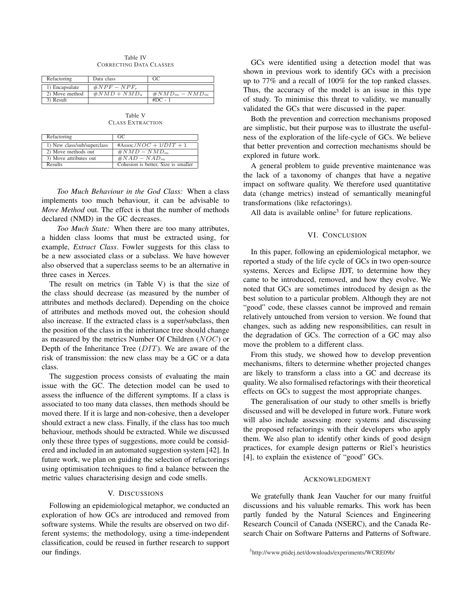Table IV CORRECTING DATA CLASSES

| Refactoring    | Data class      | GC                |
|----------------|-----------------|-------------------|
| 1) Encapsulate | $\#NPF-NPF_r$   |                   |
| 2) Move method | $\#NMD + NMD_a$ | $\#NMD_m - NMD_m$ |
| 3) Result      |                 | $#DC -$           |

Table V CLASS EXTRACTION

| Refactoring                 | GC                                  |
|-----------------------------|-------------------------------------|
| 1) New class/sub/superclass | #Assoc./ $NOC + 1/DIT + 1$          |
| 2) Move methods out         | $\#NMD-NMD_m$                       |
| 3) Move attributes out      | $\#NAD-NAD_m$                       |
| Results                     | Cohesion is better, Size is smaller |

*Too Much Behaviour in the God Class:* When a class implements too much behaviour, it can be advisable to *Move Method* out. The effect is that the number of methods declared (NMD) in the GC decreases.

*Too Much State:* When there are too many attributes, a hidden class looms that must be extracted using, for example, *Extract Class*. Fowler suggests for this class to be a new associated class or a subclass. We have however also observed that a superclass seems to be an alternative in three cases in Xerces.

The result on metrics (in Table V) is that the size of the class should decrease (as measured by the number of attributes and methods declared). Depending on the choice of attributes and methods moved out, the cohesion should also increase. If the extracted class is a super/subclass, then the position of the class in the inheritance tree should change as measured by the metrics Number Of Children (NOC) or Depth of the Inheritance Tree (DIT). We are aware of the risk of transmission: the new class may be a GC or a data class.

The suggestion process consists of evaluating the main issue with the GC. The detection model can be used to assess the influence of the different symptoms. If a class is associated to too many data classes, then methods should be moved there. If it is large and non-cohesive, then a developer should extract a new class. Finally, if the class has too much behaviour, methods should be extracted. While we discussed only these three types of suggestions, more could be considered and included in an automated suggestion system [42]. In future work, we plan on guiding the selection of refactorings using optimisation techniques to find a balance between the metric values characterising design and code smells.

#### V. DISCUSSIONS

Following an epidemiological metaphor, we conducted an exploration of how GCs are introduced and removed from software systems. While the results are observed on two different systems; the methodology, using a time-independent classification, could be reused in further research to support our findings.

GCs were identified using a detection model that was shown in previous work to identify GCs with a precision up to 77% and a recall of 100% for the top ranked classes. Thus, the accuracy of the model is an issue in this type of study. To minimise this threat to validity, we manually validated the GCs that were discussed in the paper.

Both the prevention and correction mechanisms proposed are simplistic, but their purpose was to illustrate the usefulness of the exploration of the life-cycle of GCs. We believe that better prevention and correction mechanisms should be explored in future work.

A general problem to guide preventive maintenance was the lack of a taxonomy of changes that have a negative impact on software quality. We therefore used quantitative data (change metrics) instead of semantically meaningful transformations (like refactorings).

All data is available online<sup>3</sup> for future replications.

#### VI. CONCLUSION

In this paper, following an epidemiological metaphor, we reported a study of the life cycle of GCs in two open-source systems, Xerces and Eclipse JDT, to determine how they came to be introduced, removed, and how they evolve. We noted that GCs are sometimes introduced by design as the best solution to a particular problem. Although they are not "good" code, these classes cannot be improved and remain relatively untouched from version to version. We found that changes, such as adding new responsibilities, can result in the degradation of GCs. The correction of a GC may also move the problem to a different class.

From this study, we showed how to develop prevention mechanisms, filters to determine whether projected changes are likely to transform a class into a GC and decrease its quality. We also formalised refactorings with their theoretical effects on GCs to suggest the most appropriate changes.

The generalisation of our study to other smells is briefly discussed and will be developed in future work. Future work will also include assessing more systems and discussing the proposed refactorings with their developers who apply them. We also plan to identify other kinds of good design practices, for example design patterns or Riel's heuristics [4], to explain the existence of "good" GCs.

#### ACKNOWLEDGMENT

We gratefully thank Jean Vaucher for our many fruitful discussions and his valuable remarks. This work has been partly funded by the Natural Sciences and Engineering Research Council of Canada (NSERC), and the Canada Research Chair on Software Patterns and Patterns of Software.

<sup>3</sup>http://www.ptidej.net/downloads/experiments/WCRE09b/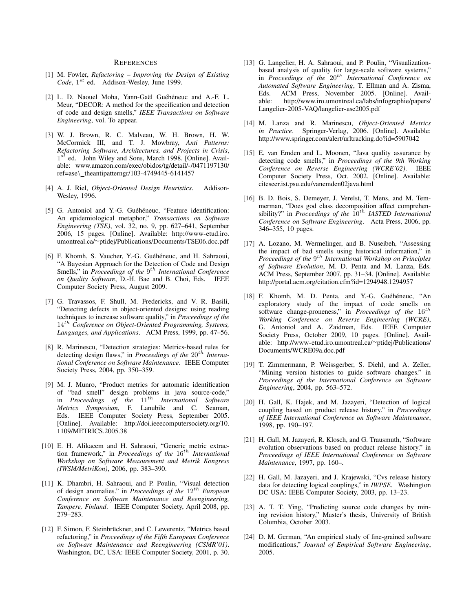#### **REFERENCES**

- [1] M. Fowler, *Refactoring Improving the Design of Existing* Code, 1<sup>st</sup> ed. Addison-Wesley, June 1999.
- [2] L. D. Naouel Moha, Yann-Gaël Guéhéneuc and A.-F. L. Meur, "DECOR: A method for the specification and detection of code and design smells," *IEEE Transactions on Software Engineering*, vol. To appear.
- [3] W. J. Brown, R. C. Malveau, W. H. Brown, H. W. McCormick III, and T. J. Mowbray, *Anti Patterns: Refactoring Software, Architectures, and Projects in Crisis*, 1<sup>st</sup> ed. John Wiley and Sons, March 1998. [Online]. Available: www.amazon.com/exec/obidos/tg/detail/-/0471197130/ ref=ase\ theantipatterngr/103-4749445-6141457
- [4] A. J. Riel, *Object-Oriented Design Heuristics*. Addison-Wesley, 1996.
- [5] G. Antoniol and Y.-G. Guéhéneuc, "Feature identification: An epidemiological metaphor," *Transactions on Software Engineering (TSE)*, vol. 32, no. 9, pp. 627–641, September 2006, 15 pages. [Online]. Available: http://www-etud.iro. umontreal.ca/<sup>∼</sup>ptidej/Publications/Documents/TSE06.doc.pdf
- [6] F. Khomh, S. Vaucher, Y.-G. Guéhéneuc, and H. Sahraoui, "A Bayesian Approach for the Detection of Code and Design Smells," in *Proceedings of the* 9<sup>th</sup> International Conference *on Quality Software*, D.-H. Bae and B. Choi, Eds. IEEE Computer Society Press, August 2009.
- [7] G. Travassos, F. Shull, M. Fredericks, and V. R. Basili, "Detecting defects in object-oriented designs: using reading techniques to increase software quality," in *Proceedings of the* 14th *Conference on Object-Oriented Programming, Systems, Languages, and Applications*. ACM Press, 1999, pp. 47–56.
- [8] R. Marinescu, "Detection strategies: Metrics-based rules for detecting design flaws," in *Proceedings of the*  $20^{th}$  *International Conference on Software Maintenance*. IEEE Computer Society Press, 2004, pp. 350–359.
- [9] M. J. Munro, "Product metrics for automatic identification of "bad smell" design problems in java source-code," in *Proceedings of the* 11th *International Software Metrics Symposium*, F. Lanubile and C. Seaman, Eds. IEEE Computer Society Press, September 2005. [Online]. Available: http://doi.ieeecomputersociety.org/10. 1109/METRICS.2005.38
- [10] E. H. Alikacem and H. Sahraoui, "Generic metric extraction framework," in *Proceedings of the*  $16^{th}$  *International Workshop on Software Measurement and Metrik Kongress (IWSM/MetriKon)*, 2006, pp. 383–390.
- [11] K. Dhambri, H. Sahraoui, and P. Poulin, "Visual detection of design anomalies." in *Proceedings of the*  $12^{th}$  *European Conference on Software Maintenance and Reengineering, Tampere, Finland*. IEEE Computer Society, April 2008, pp. 279–283.
- [12] F. Simon, F. Steinbrückner, and C. Lewerentz, "Metrics based refactoring," in *Proceedings of the Fifth European Conference on Software Maintenance and Reengineering (CSMR'01)*. Washington, DC, USA: IEEE Computer Society, 2001, p. 30.
- [13] G. Langelier, H. A. Sahraoui, and P. Poulin, "Visualizationbased analysis of quality for large-scale software systems," in *Proceedings of the*  $20^{th}$  *International Conference on Automated Software Engineering*, T. Ellman and A. Zisma, Eds. ACM Press, November 2005. [Online]. Available: http://www.iro.umontreal.ca/labs/infographie/papers/ Langelier-2005-VAQ/langelier-ase2005.pdf
- [14] M. Lanza and R. Marinescu, *Object-Oriented Metrics in Practice*. Springer-Verlag, 2006. [Online]. Available: http://www.springer.com/alert/urltracking.do?id=5907042
- [15] E. van Emden and L. Moonen, "Java quality assurance by detecting code smells," in *Proceedings of the 9th Working Conference on Reverse Engineering (WCRE'02)*. IEEE Computer Society Press, Oct. 2002. [Online]. Available: citeseer.ist.psu.edu/vanemden02java.html
- [16] B. D. Bois, S. Demeyer, J. Verelst, T. Mens, and M. Temmerman, "Does god class decomposition affect comprehensibility?" in *Proceedings of the*  $10^{th}$  *IASTED International Conference on Software Engineering*. Acta Press, 2006, pp. 346–355, 10 pages.
- [17] A. Lozano, M. Wermelinger, and B. Nuseibeh, "Assessing the impact of bad smells using historical information," in *Proceedings of the* 9 th *International Workshop on Principles of Software Evolution*, M. D. Penta and M. Lanza, Eds. ACM Press, September 2007, pp. 31–34. [Online]. Available: http://portal.acm.org/citation.cfm?id=1294948.1294957
- [18] F. Khomh, M. D. Penta, and Y.-G. Guéhéneuc, "An exploratory study of the impact of code smells on software change-proneness," in *Proceedings of the*  $16^{th}$ *Working Conference on Reverse Engineering (WCRE)*, G. Antoniol and A. Zaidman, Eds. IEEE Computer Society Press, October 2009, 10 pages. [Online]. Available: http://www-etud.iro.umontreal.ca/<sup>∼</sup>ptidej/Publications/ Documents/WCRE09a.doc.pdf
- [19] T. Zimmermann, P. Weissgerber, S. Diehl, and A. Zeller, "Mining version histories to guide software changes." in *Proceedings of the International Conference on Software Engineering*, 2004, pp. 563–572.
- [20] H. Gall, K. Hajek, and M. Jazayeri, "Detection of logical coupling based on product release history." in *Proceedings of IEEE International Conference on Software Maintenance*, 1998, pp. 190–197.
- [21] H. Gall, M. Jazayeri, R. Klosch, and G. Trausmuth, "Software evolution observations based on product release history." in *Proceedings of IEEE International Conference on Software Maintenance*, 1997, pp. 160–.
- [22] H. Gall, M. Jazayeri, and J. Krajewski, "Cvs release history data for detecting logical couplings," in *IWPSE*. Washington DC USA: IEEE Computer Society, 2003, pp. 13–23.
- [23] A. T. T. Ying, "Predicting source code changes by mining revision history," Master's thesis, University of British Columbia, October 2003.
- [24] D. M. German, "An empirical study of fine-grained software modifications," *Journal of Empirical Software Engineering*, 2005.